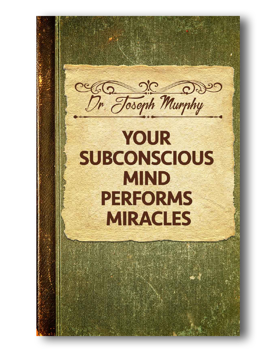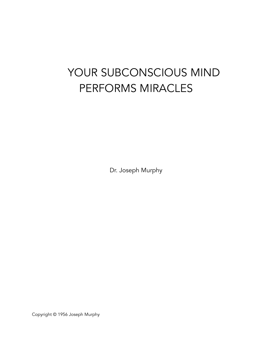## YOUR SUBCONSCIOUS MIND PERFORMS MIRACLES

Dr. Joseph Murphy

Copyright © 1956 Joseph Murphy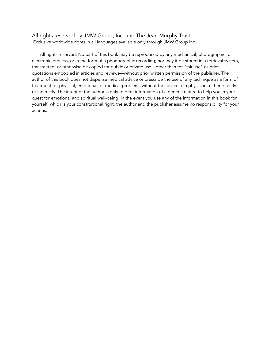#### All rights reserved by JMW Group, Inc. and The Jean Murphy Trust. Exclusive worldwide rights in all languages available only through JMW Group Inc.

 All rights reserved. No part of this book may be reproduced by any mechanical, photographic, or electronic process, or in the form of a phonographic recording; nor may it be stored in a retrieval system, transmitted, or otherwise be copied for public or private use—other than for "fair use" as brief quotations embodied in articles and reviews—without prior written permission of the publisher. The author of this book does not dispense medical advice or prescribe the use of any technique as a form of treatment for physical, emotional, or medical problems without the advice of a physician, either directly or indirectly. The intent of the author is only to offer information of a general nature to help you in your quest for emotional and spiritual well-being. In the event you use any of the information in this book for yourself, which is your constitutional right, the author and the publisher assume no responsibility for your actions.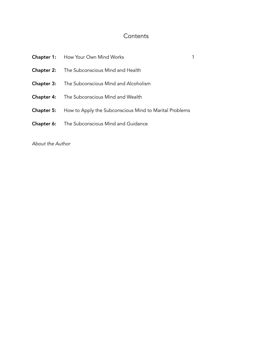### **Contents**

| <b>Chapter 1:</b> How Your Own Mind Works                                |  |
|--------------------------------------------------------------------------|--|
| <b>Chapter 2:</b> The Subconscious Mind and Health                       |  |
| <b>Chapter 3:</b> The Subconscious Mind and Alcoholism                   |  |
| <b>Chapter 4:</b> The Subconscious Mind and Wealth                       |  |
| <b>Chapter 5:</b> How to Apply the Subconscious Mind to Marital Problems |  |
| <b>Chapter 6:</b> The Subconscious Mind and Guidance                     |  |

*About the Author*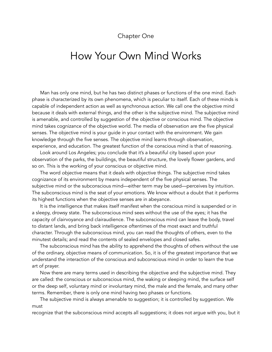#### Chapter One

### How Your Own Mind Works

 Man has only one mind, but he has two distinct phases or functions of the one mind. Each phase is characterized by its own phenomena, which is peculiar to itself. Each of these minds is capable of independent action as well as synchronous action. We call one the objective mind because it deals with external things, and the other is the subjective mind. The subjective mind is amenable, and controlled by suggestion of the objective or conscious mind. The objective mind takes cognizance of the objective world. The media of observation are the five physical senses. The objective mind is your guide in your contact with the environment. We gain knowledge through the five senses. The objective mind learns through observation, experience, and education. The greatest function of the conscious mind is that of reasoning.

Look around Los Angeles; you conclude that it's a beautiful city based upon your observation of the parks, the buildings, the beautiful structure, the lovely flower gardens, and so on. This is the working of your conscious or objective mind.

The word *objective* means that it deals with objective things. The subjective mind takes cognizance of its environment by means independent of the five physical senses. The subjective mind or the subconscious mind—either term may be used—perceives by intuition. The subconscious mind is the seat of your emotions. We know without a doubt that it performs its highest functions when the objective senses are in abeyance.

It is the intelligence that makes itself manifest when the conscious mind is suspended or in a sleepy, drowsy state. The subconscious mind sees without the use of the eyes; it has the capacity of clairvoyance and clairaudience. The subconscious mind can leave the body, travel to distant lands, and bring back intelligence oftentimes of the most exact and truthful character. Through the subconscious mind, you can read the thoughts of others, even to the minutest details; and read the contents of sealed envelopes and closed safes.

The subconscious mind has the ability to apprehend the thoughts of others without the use of the ordinary, objective means of communication. So, it is of the greatest importance that we understand the interaction of the conscious and subconscious mind in order to learn the true art of prayer.

Now there are many terms used in describing the objective and the subjective mind. They are called: the conscious or subconscious mind, the waking or sleeping mind, the surface self or the deep self, voluntary mind or involuntary mind, the male and the female, and many other terms. Remember, there is only one mind having two phases or functions.

The subjective mind is always amenable to suggestion; it is controlled by suggestion. We must

recognize that the subconscious mind accepts all suggestions; it does not argue with you, but it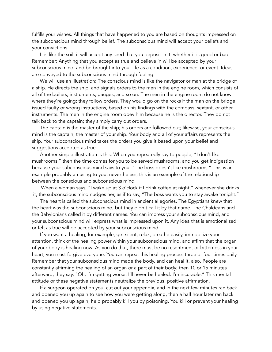fulfills your wishes. All things that have happened to you are based on thoughts impressed on the subconscious mind through belief. The subconscious mind will accept your beliefs and your convictions.

It is like the soil; it will accept any seed that you deposit in it, whether it is good or bad. Remember: Anything that you accept as true and believe in will be accepted by your subconscious mind, and be brought into your life as a condition, experience, or event. Ideas are conveyed to the subconscious mind through feeling.

We will use an illustration: The conscious mind is like the navigator or man at the bridge of a ship. He directs the ship, and signals orders to the men in the engine room, which consists of all of the boilers, instruments, gauges, and so on. The men in the engine room do not know where they're going; they follow orders. They would go on the rocks if the man on the bridge issued faulty or wrong instructions, based on his findings with the compass, sextant, or other instruments. The men in the engine room obey him because he is the director. They do not talk back to the captain; they simply carry out orders.

The captain is the master of the ship; his orders are followed out; likewise, your conscious mind is the captain, the master of your ship. Your body and all of your affairs represents the ship. Your subconscious mind takes the orders you give it based upon your belief and suggestions accepted as true.

Another simple illustration is this: When you repeatedly say to people, "I don't like mushrooms," then the time comes for you to be served mushrooms, and you get indigestion because your subconscious mind says to you, "The boss doesn't like mushrooms." This is an example probably amusing to you; nevertheless, this is an example of the relationship between the conscious and subconscious mind.

When a woman says, "I wake up at 3 o'clock if I drink coffee at night," whenever she drinks it, the subconscious mind nudges her, as if to say, "The boss wants you to stay awake tonight."

The heart is called the subconscious mind in ancient allegories. The Egyptians knew that the heart was the subconscious mind, but they didn't call it by that name. The Chaldeans and the Babylonians called it by different names. You can impress your subconscious mind, and your subconscious mind will express what is impressed upon it. Any idea that is emotionalized or felt as true will be accepted by your subconscious mind.

If you want a healing, for example, get silent, relax, breathe easily, immobilize your attention, think of the healing power within your subconscious mind, and affirm that the organ of your body is healing now. As you do that, there must be no resentment or bitterness in your heart; you must forgive everyone. You can repeat this healing process three or four times daily. Remember that your subconscious mind made the body, and can heal it, also. People are constantly affirming the healing of an organ or a part of their body; then 10 or 15 minutes afterward, they say, "Oh, I'm getting worse; I'll never be healed. I'm incurable." This mental attitude or these negative statements neutralize the previous, positive affirmation.

If a surgeon operated on you, cut out your appendix, and in the next few minutes ran back and opened you up again to see how you were getting along, then a half hour later ran back and opened you up again, he'd probably kill you by poisoning. You kill or prevent your healing by using negative statements.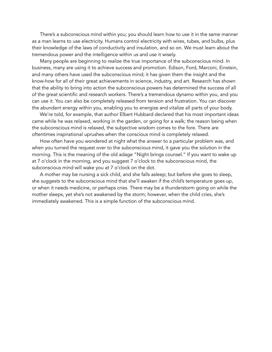There's a subconscious mind within you; you should learn how to use it in the same manner as a man learns to use electricity. Humans control electricity with wires, tubes, and bulbs, plus their knowledge of the laws of conductivity and insulation, and so on. We must learn about the tremendous power and the intelligence within us and use it wisely.

Many people are beginning to realize the true importance of the subconscious mind. In business, many are using it to achieve success and promotion. Edison, Ford, Marconi, Einstein, and many others have used the subconscious mind; it has given them the insight and the know-how for all of their great achievements in science, industry, and art. Research has shown that the ability to bring into action the subconscious powers has determined the success of all of the great scientific and research workers. There's a tremendous dynamo within you, and you can use it. You can also be completely released from tension and frustration. You can discover the abundant energy within you, enabling you to energize and vitalize all parts of your body.

We're told, for example, that author Elbert Hubbard declared that his most important ideas came while he was relaxed, working in the garden, or going for a walk; the reason being when the subconscious mind is relaxed, the subjective wisdom comes to the fore. There are oftentimes inspirational uprushes when the conscious mind is completely relaxed.

How often have you wondered at night what the answer to a particular problem was, and when you turned the request over to the subconscious mind, it gave you the solution in the morning. This is the meaning of the old adage "Night brings counsel." If you want to wake up at 7 o'clock in the morning, and you suggest 7 o'clock to the subconscious mind, the subconscious mind will wake you at 7 o'clock on the dot.

A mother may be nursing a sick child, and she falls asleep; but before she goes to sleep, she suggests to the subconscious mind that she'll awaken if the child's temperature goes up, or when it needs medicine, or perhaps cries. There may be a thunderstorm going on while the mother sleeps, yet she's not awakened by the storm; however, when the child cries, she's immediately awakened. This is a simple function of the subconscious mind.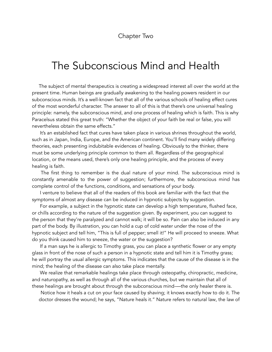### The Subconscious Mind and Health

 The subject of mental therapeutics is creating a widespread interest all over the world at the present time. Human beings are gradually awakening to the healing powers resident in our subconscious minds. It's a well-known fact that all of the various schools of healing effect cures of the most wonderful character. The answer to all of this is that there's one universal healing principle: namely, the subconscious mind, and one process of healing which is faith. This is why Paracelsus stated this great truth: "Whether the object of your faith be real or false, you will nevertheless obtain the same effects."

It's an established fact that cures have taken place in various shrines throughout the world, such as in Japan, India, Europe, and the American continent. You'll find many widely differing theories, each presenting indubitable evidences of healing. Obviously to the thinker, there must be some underlying principle common to them all. Regardless of the geographical location, or the means used, there's only one healing principle, and the process of every healing is faith.

The first thing to remember is the dual nature of your mind. The subconscious mind is constantly amenable to the power of suggestion; furthermore, the subconscious mind has complete control of the functions, conditions, and sensations of your body.

I venture to believe that all of the readers of this book are familiar with the fact that the symptoms of almost any disease can be induced in hypnotic subjects by suggestion.

For example, a subject in the hypnotic state can develop a high temperature, flushed face, or chills according to the nature of the suggestion given. By experiment, you can suggest to the person that they're paralyzed and cannot walk; it will be so. Pain can also be induced in any part of the body. By illustration, you can hold a cup of cold water under the nose of the hypnotic subject and tell him, "This is full of pepper; smell it!" He will proceed to sneeze. What do you think caused him to sneeze, the water or the suggestion?

If a man says he is allergic to Timothy grass, you can place a synthetic flower or any empty glass in front of the nose of such a person in a hypnotic state and tell him it is Timothy grass; he will portray the usual allergic symptoms. This indicates that the cause of the disease is in the mind; the healing of the disease can also take place mentally.

We realize that remarkable healings take place through osteopathy, chiropractic, medicine, and naturopathy, as well as through all of the various churches, but we maintain that all of these healings are brought about through the subconscious mind-—the only healer there is.

Notice how it heals a cut on your face caused by shaving; it knows exactly how to do it. The doctor dresses the wound; he says, "Nature heals it." Nature refers to natural law, the law of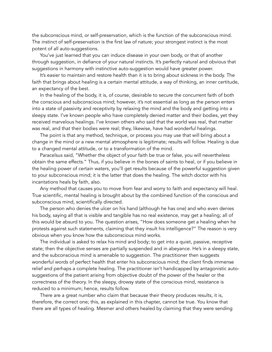the subconscious mind, or self-preservation, which is the function of the subconscious mind. The instinct of self-preservation is the first law of nature; your strongest instinct is the most potent of all auto-suggestions.

 You've just learned that you can induce disease in your own body, or that of another through suggestion, in defiance of your natural instincts. It's perfectly natural and obvious that suggestions in harmony with instinctive auto-suggestion would have greater power.

 It's easier to maintain and restore health than it is to bring about sickness in the body. The faith that brings about healing is a certain mental attitude, a way of thinking, an inner certitude, an expectancy of the best.

 In the healing of the body, it is, of course, desirable to secure the concurrent faith of both the conscious and subconscious mind; however, it's not essential as long as the person enters into a state of passivity and receptivity by relaxing the mind and the body and getting into a sleepy state. I've known people who have completely denied matter and their bodies, yet they received marvelous healings. I've known others who said that the world was real, that matter was real, and that their bodies were real; they, likewise, have had wonderful healings.

 The point is that any method, technique, or process you may use that will bring about a change in the mind or a new mental atmosphere is legitimate; results will follow. Healing is due to a changed mental attitude, or to a transformation of the mind.

 Paracelsus said, "Whether the object of your faith be true or false, you will nevertheless obtain the same effects." Thus, if you believe in the bones of saints to heal, or if you believe in the healing power of certain waters, you'll get results because of the powerful suggestion given to your subconscious mind; it is the latter that does the healing. The witch doctor with his incantations heals by faith, also.

 Any method that causes you to move from fear and worry to faith and expectancy will heal. True scientific, mental healing is brought about by the combined function of the conscious and subconscious mind, scientifically directed.

 The person who denies the ulcer on his hand (although he has one) and who even denies his body, saying all that is visible and tangible has no real existence, may get a healing; all of this would be absurd to you. The question arises, "How does someone get a healing when he protests against such statements, claiming that they insult his intelligence?" The reason is very obvious when you know how the subconscious mind works.

 The individual is asked to relax his mind and body; to get into a quiet, passive, receptive state; then the objective senses are partially suspended and in abeyance. He's in a sleepy state, and the subconscious mind is amenable to suggestion. The practitioner then suggests wonderful words of perfect health that enter his subconscious mind; the client finds immense relief and perhaps a complete healing. The practitioner isn't handicapped by antagonistic autosuggestions of the patient arising from objective doubt of the power of the healer or the correctness of the theory. In the sleepy, drowsy state of the conscious mind, resistance is reduced to a minimum; hence, results follow.

 There are a great number who claim that because their theory produces results, it is, therefore, the correct one; this, as explained in this chapter, cannot be true. You know that there are all types of healing. Mesmer and others healed by claiming that they were sending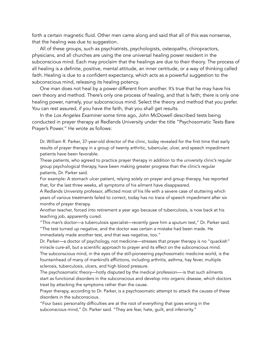forth a certain magnetic fluid. Other men came along and said that all of this was nonsense, that the healing was due to suggestion.

 All of these groups, such as psychiatrists, psychologists, osteopaths, chiropractors, physicians, and all churches are using the one universal healing power resident in the subconscious mind. Each may proclaim that the healings are due to their theory. The process of all healing is a definite, positive, mental attitude, an inner certitude, or a way of thinking called *faith.* Healing is due to a confident expectancy, which acts as a powerful suggestion to the subconscious mind, releasing its healing potency.

 One man does not heal by a power different from another. It's true that he may have his own theory and method. There's only one process of healing, and that is faith; there is only one healing power, namely, your subconscious mind. Select the theory and method that you prefer. You can rest assured, if you have the faith, that you shall get results.

 In the *Los Angeles Examiner* some time ago, John McDowell described tests being conducted in prayer therapy at Redlands University under the title "Psychosomatic Tests Bare Prayer's Power." He wrote as follows:

Dr. William R. Parker, 37-year-old director of the clinic, today revealed for the first time that early results of prayer therapy in a group of twenty arthritic, tubercular, ulcer, and speech impediment patients have been favorable.

These patients, who agreed to practice prayer therapy in addition to the university clinic's regular group psychological therapy, have been making greater progress than the clinic's regular patients, Dr. Parker said.

For example: A stomach ulcer patient, relying solely on prayer and group therapy, has reported that, for the last three weeks, all symptoms of his ailment have disappeared.

A Redlands University professor, afflicted most of his life with a severe case of stuttering which years of various treatments failed to correct, today has no trace of speech impediment after six months of prayer therapy.

Another teacher, forced into retirement a year ago because of tuberculosis, is now back at his teaching job, apparently cured.

"This man's doctor—a tuberculosis specialist—recently gave him a sputum test," Dr. Parker said. "The test turned up negative, and the doctor was certain a mistake had been made. He immediately made another test, and that was negative, too."

Dr. Parker—a doctor of psychology, not medicine—stresses that prayer therapy is no "quackish" miracle cure-all, but a scientific approach to prayer and its effect on the subconscious mind. The subconscious mind, in the eyes of the still-pioneering psychosomatic medicine world, is the fountainhead of many of mankind's afflictions, including arthritis, asthma, hay fever, multiple sclerosis, tuberculosis, ulcers, and high blood pressure.

The psychosomatic theory—hotly disputed by the medical profession—-is that such ailments start as functional disorders in the subconscious and develop into organic disease, which doctors treat by attacking the symptoms rather than the cause.

Prayer therapy, according to Dr. Parker, is a psychosomatic attempt to attack the causes of these disorders in the subconscious.

"Four basic personality difficulties are at the root of everything that goes wrong in the subconscious mind," Dr. Parker said. "They are fear, hate, guilt, and inferiority."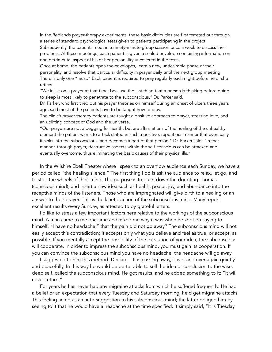In the Redlands prayer-therapy experiments, these basic difficulties are first ferreted out through a series of standard psychological tests given to patients participating in the project.

Subsequently, the patients meet in a ninety-minute group session once a week to discuss their problems. At these meetings, each patient is given a sealed envelope containing information on one detrimental aspect of his or her personality uncovered in the tests.

Once at home, the patients open the envelopes, learn a new, undesirable phase of their personality, and resolve that particular difficulty in prayer daily until the next group meeting. There is only one "must." Each patient is required to pray regularly each night before he or she retires.

"We insist on a prayer at that time, because the last thing that a person is thinking before going to sleep is most likely to penetrate to the subconscious," Dr. Parker said.

Dr. Parker, who first tried out his prayer theories on himself during an onset of ulcers three years ago, said most of the patients have to be taught how to pray.

The clinic's prayer-therapy patients are taught a positive approach to prayer, stressing love, and an uplifting concept of God and the universe.

"Our prayers are not a begging for health, but are affirmations of the healing of the unhealthy element the patient wants to attack stated in such a positive, repetitious manner that eventually it sinks into the subconscious, and becomes a part of that person," Dr. Parker said. "In that manner, through prayer, destructive aspects within the self-conscious can be attacked and eventually overcome, thus eliminating the basic causes of their physical ills."

 In the Wilshire Ebell Theater where I speak to an overflow audience each Sunday, we have a period called "the healing silence." The first thing I do is ask the audience to relax, let go, and to stop the wheels of their mind. The purpose is to quiet down the doubting Thomas (conscious mind), and insert a new idea such as health, peace, joy, and abundance into the receptive minds of the listeners. Those who are impregnated will give birth to a healing or an answer to their prayer. This is the kinetic action of the subconscious mind. Many report excellent results every Sunday, as attested to by grateful letters.

 I'd like to stress a few important factors here relative to the workings of the subconscious mind. A man came to me one time and asked me why it was when he kept on saying to himself, "I have no headache," that the pain did not go away? The subconscious mind will not easily accept this contradiction; it accepts only what you believe and feel as true, or accept, as possible. If you mentally accept the possibility of the execution of your idea, the subconscious will cooperate. In order to impress the subconscious mind, you must gain its cooperation. If you can convince the subconscious mind you have no headache, the headache will go away.

 I suggested to him this method: Declare: "It is passing away," over and over again quietly and peacefully. In this way he would be better able to sell the idea or conclusion to the wise, deep self, called the subconscious mind. He got results, and he added something to it: "It will never return."

 For years he has never had any migraine attacks from which he suffered frequently. He had a belief or an expectation that every Tuesday and Saturday morning, he'd get migraine attacks. This feeling acted as an auto-suggestion to his subconscious mind; the latter obliged him by seeing to it that he would have a headache at the time specified. It simply said, "It is Tuesday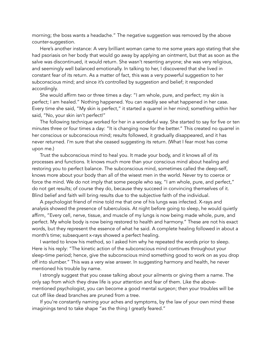morning; the boss wants a headache." The negative suggestion was removed by the above counter-suggestion.

 Here's another instance: A very brilliant woman came to me some years ago stating that she had psoriasis on her body that would go away by applying an ointment, but that as soon as the salve was discontinued, it would return. She wasn't resenting anyone; she was very religious, and seemingly well balanced emotionally. In talking to her, I discovered that she lived in constant fear of its return. As a matter of fact, this was a very powerful suggestion to her subconscious mind; and since it's controlled by suggestion and belief; it responded accordingly.

 She would affirm two or three times a day: "I am whole, pure, and perfect; my skin is perfect; I am healed." Nothing happened. You can readily see what happened in her case. Every time she said, "My skin is perfect," it started a quarrel in her mind; something within her said, "No, your skin isn't perfect!"

 The following technique worked for her in a wonderful way. She started to say for five or ten minutes three or four times a day: "It is changing now for the better." This created no quarrel in her conscious or subconscious mind; results followed, it gradually disappeared, and it has never returned. I'm sure that she ceased suggesting its return. (What I fear most has come upon me.)

 Trust the subconscious mind to heal you. It made your body, and it knows all of its processes and functions. It knows much more than your conscious mind about healing and restoring you to perfect balance. The subconscious mind, sometimes called the deep-self, knows more about your body than all of the wisest men in the world. Never try to coerce or force the mind. We do not imply that some people who say, "I am whole, pure, and perfect," do not get results; of course they do, because they succeed in convincing themselves of it. Blind belief and faith will bring results due to the subjective faith of the individual.

 A psychologist friend of mine told me that one of his lungs was infected. X-rays and analysis showed the presence of tuberculosis. At night before going to sleep, he would quietly affirm, "Every cell, nerve, tissue, and muscle of my lungs is now being made whole, pure, and perfect. My whole body is now being restored to health and harmony." These are not his exact words, but they represent the essence of what he said. A complete healing followed in about a month's time; subsequent x-rays showed a perfect healing.

 I wanted to know his method, so I asked him why he repeated the words prior to sleep. Here is his reply: "The kinetic action of the subconscious mind continues throughout your sleep-time period; hence, give the subconscious mind something good to work on as you drop off into slumber." This was a very wise answer. In suggesting harmony and health, he never mentioned his trouble by name.

 I strongly suggest that you cease talking about your ailments or giving them a name. The only sap from which they draw life is your attention and fear of them. Like the abovementioned psychologist, you can become a good mental surgeon; then your troubles will be cut off like dead branches are pruned from a tree.

 If you're constantly naming your aches and symptoms, by the law of your own mind these imaginings tend to take shape "as the thing I greatly feared."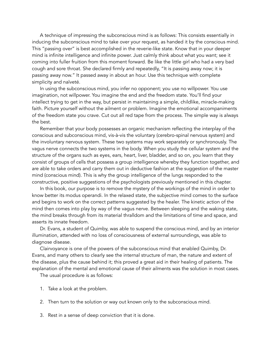A technique of impressing the subconscious mind is as follows: This consists essentially in inducing the subconscious mind to take over your request, as handed it by the conscious mind. This "passing over" is best accomplished in the reverie-like state. Know that in your deeper mind is infinite intelligence and infinite power. Just calmly think about what you want; see it coming into fuller fruition from this moment forward. Be like the little girl who had a very bad cough and sore throat. She declared firmly and repeatedly, "It is passing away now; it is passing away now." It passed away in about an hour. Use this technique with complete simplicity and naïveté.

 In using the subconscious mind, you infer no opponent; you use no willpower. You use imagination, not willpower. You imagine the end and the freedom state. You'll find your intellect trying to get in the way, but persist in maintaining a simple, childlike, miracle-making faith. Picture yourself without the ailment or problem. Imagine the emotional accompaniments of the freedom state you crave. Cut out all red tape from the process. The simple way is always the best.

 Remember that your body possesses an organic mechanism reflecting the interplay of the conscious and subconscious mind, vis-à-vis the voluntary (cerebro-spinal nervous system) and the involuntary nervous system. These two systems may work separately or synchronously. The vagus nerve connects the two systems in the body. When you study the cellular system and the structure of the organs such as eyes, ears, heart, liver, bladder, and so on, you learn that they consist of groups of cells that possess a group intelligence whereby they function together, and are able to take orders and carry them out in deductive fashion at the suggestion of the master mind (conscious mind). This is why the group intelligence of the lungs responded to the constructive, positive suggestions of the psychologists previously mentioned in this chapter.

 In this book, our purpose is to remove the mystery of the workings of the mind in order to know better its modus operandi. In the relaxed state, the subjective mind comes to the surface and begins to work on the correct patterns suggested by the healer. The kinetic action of the mind then comes into play by way of the vagus nerve. Between sleeping and the waking state, the mind breaks through from its material thralldom and the limitations of time and space, and asserts its innate freedom.

 Dr. Evans, a student of Quimby, was able to suspend the conscious mind, and by an interior illumination, attended with no loss of consciousness of external surroundings, was able to diagnose disease.

 Clairvoyance is one of the powers of the subconscious mind that enabled Quimby, Dr. Evans, and many others to clearly see the internal structure of man, the nature and extent of the disease, plus the cause behind it; this proved a great aid in their healing of patients. The explanation of the mental and emotional cause of their ailments was the solution in most cases.

The usual procedure is as follows:

- 1. Take a look at the problem.
- 2. Then turn to the solution or way out known only to the subconscious mind.
- 3. Rest in a sense of deep conviction that it is done.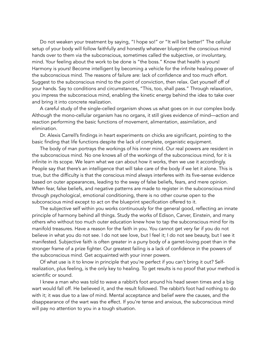Do not weaken your treatment by saying, "I hope so!" or "It will be better!" The cellular setup of your body will follow faithfully and honestly whatever blueprint the conscious mind hands over to them via the subconscious, sometimes called the subjective, or involuntary, mind. Your feeling about the work to be done is "the boss." Know that health is yours! Harmony is yours! Become intelligent by becoming a vehicle for the infinite healing power of the subconscious mind. The reasons of failure are: lack of confidence and too much effort. Suggest to the subconscious mind to the point of conviction, then relax. Get yourself off of your hands. Say to conditions and circumstances, "This, too, shall pass." Through relaxation, you impress the subconscious mind, enabling the kinetic energy behind the idea to take over and bring it into concrete realization.

 A careful study of the single-celled organism shows us what goes on in our complex body. Although the mono-cellular organism has no organs, it still gives evidence of mind—action and reaction performing the basic functions of movement, alimentation, assimilation, and elimination.

 Dr. Alexis Carrell's findings in heart experiments on chicks are significant, pointing to the basic finding that life functions despite the lack of complete, organistic equipment.

 The body of man portrays the workings of his inner mind. Our real powers are resident in the subconscious mind. No one knows all of the workings of the subconscious mind, for it is infinite in its scope. We learn what we can about how it works, then we use it accordingly. People say that there's an intelligence that will take care of the body if we let it alone. This is true, but the difficulty is that the conscious mind always interferes with its five-sense evidence based on outer appearances, leading to the sway of false beliefs, fears, and mere opinion. When fear, false beliefs, and negative patterns are made to register in the subconscious mind through psychological, emotional conditioning, there is no other course open to the subconscious mind except to act on the blueprint specification offered to it.

 The subjective self within you works continuously for the general good, reflecting an innate principle of harmony behind all things. Study the works of Edison, Carver, Einstein, and many others who without too much outer education knew how to tap the subconscious mind for its manifold treasures. Have a reason for the faith in you. You cannot get very far if you do not believe in what you do not see. I do not see love, but I feel it; I do not see beauty, but I see it manifested. Subjective faith is often greater in a puny body of a garret-loving poet than in the stronger frame of a prize fighter. Our greatest failing is a lack of confidence in the powers of the subconscious mind. Get acquainted with your inner powers.

 Of what use is it to know in principle that you're perfect if you can't bring it out? Selfrealization, plus feeling, is the only key to healing. To get results is no proof that your method is scientific or sound.

 I knew a man who was told to wave a rabbit's foot around his head seven times and a big wart would fall off. He believed it, and the result followed. The rabbit's foot had nothing to do with it; it was due to a law of mind. Mental acceptance and belief were the causes, and the disappearance of the wart was the effect. If you're tense and anxious, the subconscious mind will pay no attention to you in a tough situation.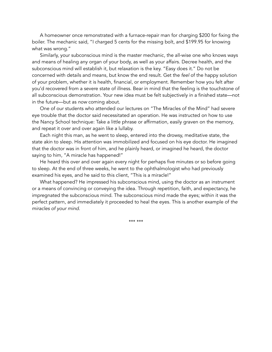A homeowner once remonstrated with a furnace-repair man for charging \$200 for fixing the boiler. The mechanic said, "I charged 5 cents for the missing bolt, and \$199.95 for knowing what was wrong."

 Similarly, your subconscious mind is the master mechanic, the all-wise one who knows ways and means of healing any organ of your body, as well as your affairs. Decree health, and the subconscious mind will establish it, but relaxation is the key. "Easy does it." Do not be concerned with details and means, but know the end result. Get the *feel* of the happy solution of your problem, whether it is health, financial, or employment. Remember how you felt after you'd recovered from a severe state of illness. Bear in mind that the feeling is the touchstone of all subconscious demonstration. Your new idea must be felt subjectively in a finished state—not in the future—but as *now* coming about.

 One of our students who attended our lectures on "The Miracles of the Mind" had severe eye trouble that the doctor said necessitated an operation. He was instructed on how to use the Nancy School technique: Take a little phrase or affirmation, easily graven on the memory, and repeat it over and over again like a lullaby.

 Each night this man, as he went to sleep, entered into the drowsy, meditative state, the state akin to sleep. His attention was immobilized and focused on his eye doctor. He imagined that the doctor was in front of him, and he plainly heard, or imagined he heard, the doctor saying to him, "A miracle has happened!"

 He heard this over and over again every night for perhaps five minutes or so before going to sleep. At the end of three weeks, he went to the ophthalmologist who had previously examined his eyes, and he said to this client, "This is a miracle!"

 What happened? He impressed his subconscious mind, using the doctor as an instrument or a means of convincing or conveying the idea. Through repetition, faith, and expectancy, he impregnated the subconscious mind. The subconscious mind made the eyes; within it was the perfect pattern, and immediately it proceeded to heal the eyes. This is another example of *the miracles of your mind.*

\*\*\* \*\*\*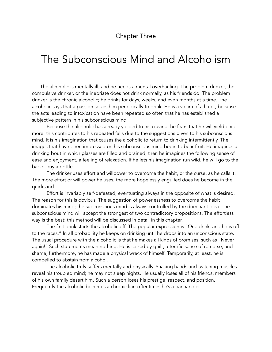#### Chapter Three

### The Subconscious Mind and Alcoholism

 The alcoholic is mentally ill, and he needs a mental overhauling. The problem drinker, the compulsive drinker, or the inebriate does not drink normally, as his friends do. The problem drinker is the chronic alcoholic; he drinks for days, weeks, and even months at a time. The alcoholic says that a passion seizes him periodically to drink. He is a victim of a habit, because the acts leading to intoxication have been repeated so often that he has established a subjective pattern in his subconscious mind.

Because the alcoholic has already yielded to his craving, he fears that he will yield once more; this contributes to his repeated falls due to the suggestions given to his subconscious mind. It is his imagination that causes the alcoholic to return to drinking intermittently. The images that have been impressed on his subconscious mind begin to bear fruit. He imagines a drinking bout in which glasses are filled and drained, then he imagines the following sense of ease and enjoyment, a feeling of relaxation. If he lets his imagination run wild, he will go to the bar or buy a bottle.

The drinker uses effort and willpower to overcome the habit, or the curse, as he calls it. The more effort or will power he uses, the more hopelessly engulfed does he become in the quicksand.

Effort is invariably self-defeated, eventuating always in the opposite of what is desired. The reason for this is obvious: The suggestion of powerlessness to overcome the habit dominates his mind; the subconscious mind is always controlled by the dominant idea. The subconscious mind will accept the strongest of two contradictory propositions. The effortless way is the best; this method will be discussed in detail in this chapter.

The first drink starts the alcoholic off. The popular expression is "One drink, and he is off to the races." In all probability he keeps on drinking until he drops into an unconscious state. The usual procedure with the alcoholic is that he makes all kinds of promises, such as "Never again!" Such statements mean nothing. He is seized by guilt, a terrific sense of remorse, and shame; furthermore, he has made a physical wreck of himself. Temporarily, at least, he is compelled to abstain from alcohol.

The alcoholic truly suffers mentally and physically. Shaking hands and twitching muscles reveal his troubled mind; he may not sleep nights. He usually loses all of his friends; members of his own family desert him. Such a person loses his prestige, respect, and position. Frequently the alcoholic becomes a chronic liar; oftentimes he's a panhandler.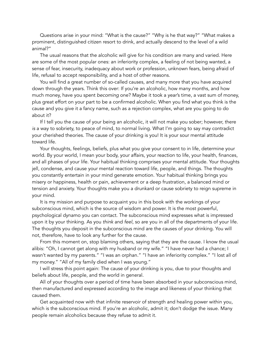Questions arise in your mind: "What is the cause?" "Why is he that way?" "What makes a prominent, distinguished citizen resort to drink, and actually descend to the level of a wild animal?"

 The usual reasons that the alcoholic will give for his condition are many and varied. Here are some of the most popular ones: an inferiority complex, a feeling of not being wanted, a sense of fear, insecurity, inadequacy about work or profession, unknown fears, being afraid of life, refusal to accept responsibility, and a host of other reasons.

 You will find a great number of so-called causes, and many more that you have acquired down through the years. Think this over: If you're an alcoholic, how many months, and how much money, have you spent *becoming* one? Maybe it took a year's time, a vast sum of money, plus great effort on your part to be a confirmed alcoholic. When you find what you think is the cause and you give it a fancy name, such as a rejection complex, what are you going to do about it?

 If I tell you the cause of your being an alcoholic, it will not make you sober; however, there *is* a way to sobriety, to peace of mind, to normal living. What I'm going to say may contradict your cherished theories. The cause of your drinking is you! It is your sour mental attitude toward life.

 Your thoughts, feelings, beliefs, plus what you give your consent to in life, determine your world. By your world, I mean your body, your affairs, your reaction to life, your health, finances, and all phases of your life. Your habitual thinking comprises your mental attitude. Your thoughts jell, condense, and cause your mental reaction toward life, people, and things. The thoughts you constantly entertain in your mind generate emotion. Your habitual thinking brings you misery or happiness, health or pain, achievement or a deep frustration, a balanced mind or tension and anxiety. Your thoughts make you a drunkard or cause sobriety to reign supreme in your mind.

 It is my mission and purpose to acquaint you in this book with the workings of your subconscious mind, which is the source of wisdom and power. It is the most powerful, psychological dynamo you can contact. The subconscious mind expresses what is impressed upon it by your thinking. As you *think* and *feel,* so are you in all of the departments of your life. The thoughts you deposit in the subconscious mind are the causes of your drinking. You will not, therefore, have to look any further for the cause.

 From this moment on, stop blaming others, saying that they are the cause. I know the usual alibis: "Oh, I cannot get along with my husband or my wife." "I have never had a chance; I wasn't wanted by my parents." "I was an orphan." "I have an inferiority complex." "I lost all of my money." "All of my family died when I was young."

 I will stress this point again: The cause of your drinking is you, due to your thoughts and beliefs about life, people, and the world in general.

 All of your thoughts over a period of time have been absorbed in your subconscious mind, then manufactured and expressed according to the image and likeness of your thinking that caused them.

 Get acquainted now with that infinite reservoir of strength and healing power within you, which is the subconscious mind. If you're an alcoholic, admit it; don't dodge the issue. Many people remain alcoholics because they refuse to admit it.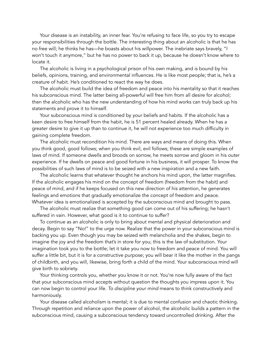Your disease is an instability, an inner fear. You're refusing to face life, so you try to escape your responsibilities through the bottle. The interesting thing about an alcoholic is that he has no free will; he thinks he has—he boasts about his willpower. The inebriate says bravely, "I won't touch it anymore," but he has no power to back it up, because he doesn't know where to locate it.

 The alcoholic is living in a psychological prison of his own making, and is bound by his beliefs, opinions, training, and environmental influences. He is like most people; that is, he's a creature of habit. He's conditioned to react the way he does.

 The alcoholic must build the idea of freedom and peace into his mentality so that it reaches his subconscious mind. The latter being all-powerful will free him from all desire for alcohol; then the alcoholic who has the new understanding of how his mind works can truly back up his statements and prove it to himself.

 Your subconscious mind is conditioned by your beliefs and habits. If the alcoholic has a keen desire to free himself from the habit, he is 51 percent healed already. When he has a greater desire to give it up than to continue it, he will not experience too much difficulty in gaining complete freedom.

 The alcoholic must recondition his mind. There are ways and means of doing this. When you think good, good follows; when you think evil, evil follows; these are simple examples of laws of mind. If someone dwells and broods on sorrow, he meets sorrow and gloom in his outer experience. If he dwells on peace and good fortune in his business, it will prosper. To know the possibilities of such laws of mind is to be seized with a new inspiration and a new faith.

 The alcoholic learns that whatever thought he anchors his mind upon, the latter magnifies. If the alcoholic engages his mind on the concept of freedom (freedom from the habit) and peace of mind, and if he keeps focused on this new direction of his attention, he generates feelings and emotions that gradually emotionalize the concept of freedom and peace. Whatever idea is emotionalized is accepted by the subconscious mind and brought to pass.

 The alcoholic must realize that something good can come out of his suffering; he hasn't suffered in vain. However, what good is it to continue to suffer?

 To continue as an alcoholic is only to bring about mental and physical deterioration and decay. Begin to say "No!" to the urge now. Realize that the power in your subconscious mind is backing you up. Even though you may be seized with melancholia and the shakes, begin to imagine the joy and the freedom that's in store for you; this is the law of substitution. Your imagination took you to the bottle; let it take you now to freedom and peace of mind. You will suffer a little bit, but it is for a constructive purpose; you will bear it like the mother in the pangs of childbirth, and you will, likewise, bring forth a child of the mind. Your subconscious mind will give birth to sobriety.

 Your thinking controls you, whether you know it or not. You're now fully aware of the fact that your subconscious mind accepts without question the thoughts you impress upon it. You can now begin to control your life. *To discipline your mind* means to think constructively and harmoniously.

 Your disease called alcoholism is mental; it is due to mental confusion and chaotic thinking. Through repetition and reliance upon the power of alcohol, the alcoholic builds a pattern in the subconscious mind, causing a subconscious tendency toward uncontrolled drinking. After the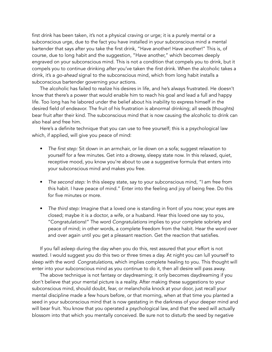first drink has been taken, it's not a physical craving or urge; it is a purely mental or a subconscious urge, due to the fact you have installed in your subconscious mind a mental bartender that says after you take the first drink, "Have another! Have another!" This is, of course, due to long habit and the suggestion, "Have another," which becomes deeply engraved on your subconscious mind. This is not a condition that compels you to drink, but it compels you to continue drinking *after* you've taken the *first* drink. When the alcoholic takes a drink, it's a *go-ahead* signal to the subconscious mind, which from long habit installs a subconscious bartender governing your actions.

 The alcoholic has failed to realize his desires in life, and he's always frustrated. He doesn't know that there's a power that would enable him to reach his goal and lead a full and happy life. Too long has he labored under the belief about his inability to express himself in the desired field of endeavor. The fruit of his frustration is abnormal drinking; all seeds (thoughts) bear fruit after their kind. The subconscious mind that is now causing the alcoholic to drink can also heal and free him.

 Here's a definite technique that you can use to free yourself; this is a psychological law which, if applied, will give you peace of mind:

- *The first step:* Sit down in an armchair, or lie down on a sofa; suggest relaxation to yourself for a few minutes. Get into a drowsy, sleepy state now. In this relaxed, quiet, receptive mood, you know you're about to use a suggestive formula that enters into your subconscious mind and makes you free.
- *The second step:* In this sleepy state, say to your subconscious mind, "I am free from this habit. I have peace of mind." Enter into the feeling and joy of being free. Do this for five minutes or more.
- *The third step:* Imagine that a loved one is standing in front of you now; your eyes are closed; maybe it is a doctor, a wife, or a husband. Hear this loved one say to you, "Congratulations!" The word *Congratulations* implies to your complete sobriety and peace of mind; in other words, a complete freedom from the habit. Hear the word over and over again until you get a pleasant reaction. Get the reaction that satisfies.

 If you fall asleep during the day when you do this, rest assured that your effort is not wasted. I would suggest you do this two or three times a day. At night you can lull yourself to sleep with the word *Congratulations,* which implies complete healing to you. This thought will enter into your subconscious mind as you continue to do it, then all desire will pass away.

 The above technique is not fantasy or daydreaming; it only becomes daydreaming if you don't believe that your mental picture is a reality. After making these suggestions to your subconscious mind, should doubt, fear, or melancholia knock at your door, just recall your mental discipline made a few hours before, or that morning, when at that time you planted a seed in your subconscious mind that is now gestating in the darkness of your deeper mind and will bear fruit. You know that you operated a psychological law, and that the seed will actually blossom into that which you mentally conceived. Be sure not to disturb the seed by negative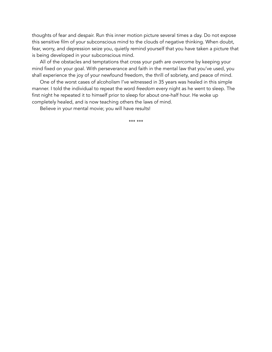thoughts of fear and despair. Run this inner motion picture several times a day. Do not expose this sensitive film of your subconscious mind to the clouds of negative thinking. When doubt, fear, worry, and depression seize you, quietly remind yourself that you have taken a picture that is being developed in your subconscious mind.

 All of the obstacles and temptations that cross your path are overcome by keeping your mind fixed on your goal. With perseverance and faith in the mental law that you've used, you shall experience the joy of your newfound freedom, the thrill of sobriety, and peace of mind.

 One of the worst cases of alcoholism I've witnessed in 35 years was healed in this simple manner. I told the individual to repeat the word *freedom* every night as he went to sleep. The first night he repeated it to himself prior to sleep for about one-half hour. He woke up completely healed, and is now teaching others the laws of mind.

Believe in your mental movie; you will have results!

\*\*\* \*\*\*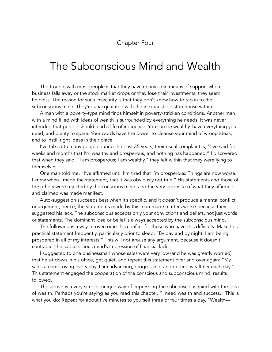Chapter Four

## The Subconscious Mind and Wealth

 The trouble with most people is that they have no invisible means of support when business falls away or the stock market drops or they lose their investments; they seem helpless. The reason for such insecurity is that they don't know how to tap in to the subconscious mind. They're unacquainted with the inexhaustible storehouse within.

A man with a poverty-type mind finds himself in poverty-stricken conditions. Another man with a mind filled with ideas of wealth is surrounded by everything he needs. It was never intended that people should lead a life of indigence. You can be wealthy, have everything you need, and plenty to spare. Your words have the power to cleanse your mind of wrong ideas, and to instill right ideas in their place.

I've talked to many people during the past 35 years; their usual complaint is, "I've said for weeks and months that I'm wealthy and prosperous, and nothing has happened." I discovered that when they said, "I am prosperous; I am wealthy," they felt within that they were lying to themselves.

One man told me, "I've affirmed until I'm tired that I'm prosperous. Things are now worse. I knew when I made the statement, that it was obviously not true." His statements and those of the others were rejected by the conscious mind, and the very opposite of what they affirmed and claimed was made manifest.

Auto-suggestion succeeds best when it's specific, and it doesn't produce a mental conflict or argument; hence, the statements made by this man-made matters worse because they suggested his lack. The subconscious accepts only your convictions and beliefs, not just words or statements. The dominant idea or belief is always accepted by the subconscious mind.

The following is a way to overcome this conflict for those who have this difficulty. Make this practical statement frequently, particularly prior to sleep: "By day and by night, I am being prospered in all of my interests." This will not arouse any argument, because it doesn't contradict the subconscious mind's impression of financial lack.

I suggested to one businessman whose sales were very low (and he was greatly worried) that he sit down in his office, get quiet, and repeat this statement over and over again: "My sales are improving every day. I am advancing, progressing, and getting wealthier each day." This statement engaged the cooperation of the conscious and subconscious mind; results followed.

The above is a very simple, unique way of impressing the subconscious mind with the idea of wealth. Perhaps you're saying as you read this chapter, "I need wealth and success." This is what you do: Repeat for about five minutes to yourself three or four times a day, "Wealth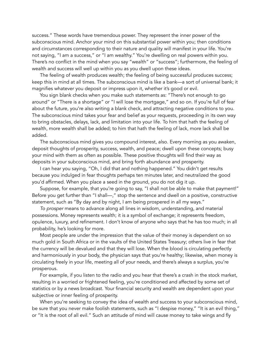success." These words have tremendous power. They represent the inner power of the subconscious mind. Anchor your mind on this substantial power within you; then conditions and circumstances corresponding to their nature and quality will manifest in your life. You're not saying, "I am a success," or "I am wealthy." You're dwelling on real powers within you. There's no conflict in the mind when you say "wealth" or "success"; furthermore, the feeling of wealth and success will well up within you as you dwell upon these ideas.

 The feeling of wealth produces wealth; the feeling of being successful produces success; keep this in mind at all times. The subconscious mind is like a bank—a sort of universal bank; it magnifies whatever you deposit or impress upon it, whether it's good or evil.

 You sign blank checks when you make such statements as: "There's not enough to go around" or "There is a shortage" or "I will lose the mortgage," and so on. If you're full of fear about the future, you're also writing a blank check, and attracting negative conditions to you. The subconscious mind takes your fear and belief as your requests, proceeding in its own way to bring obstacles, delays, lack, and limitation into your life. To him that hath the feeling of wealth, more wealth shall be added; to him that hath the feeling of lack, more lack shall be added.

 The subconscious mind gives you compound interest, also. Every morning as you awaken, deposit thoughts of prosperity, success, wealth, and peace; dwell upon these concepts; busy your mind with them as often as possible. These positive thoughts will find their way as deposits in your subconscious mind, and bring forth abundance and prosperity.

 I can hear you saying, "Oh, I did that and nothing happened." You didn't get results because you indulged in fear thoughts perhaps ten minutes later, and neutralized the good you'd affirmed. When you place a seed in the ground, you do not dig it up.

 Suppose, for example, that you're going to say, "I shall not be able to make that payment!" Before you get further than "I shall—," stop the sentence and dwell on a positive, constructive statement, such as "By day and by night, I am being prospered in all my ways."

*To prosper* means to advance along all lines in wisdom, understanding, and material possessions. Money represents wealth; it is a symbol of exchange; it represents freedom, opulence, luxury, and refinement. I don't know of anyone who says that he has too much; in all probability, he's looking for more.

 Most people are under the impression that the value of their money is dependent on so much gold in South Africa or in the vaults of the United States Treasury; others live in fear that the currency will be devalued and that they will lose. When the blood is circulating perfectly and harmoniously in your body, the physician says that you're healthy; likewise, when money is circulating freely in your life, meeting all of your needs, and there's always a surplus, you're prosperous.

 For example, if you listen to the radio and you hear that there's a crash in the stock market, resulting in a worried or frightened feeling, you're conditioned and affected by some set of statistics or by a news broadcast. Your financial security and wealth are dependent upon your subjective or inner feeling of prosperity.

 When you're seeking to convey the idea of wealth and success to your subconscious mind, be sure that you never make foolish statements, such as "I despise money," "It is an evil thing," or "It is the root of all evil." Such an attitude of mind will cause money to take wings and fly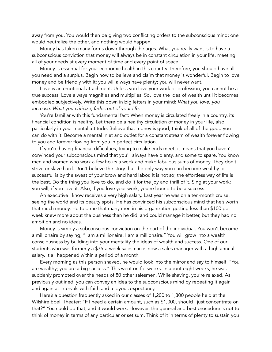away from you. You would then be giving two conflicting orders to the subconscious mind; one would neutralize the other, and nothing would happen.

 Money has taken many forms down through the ages. What you really want is to have a subconscious conviction that money will always be in constant circulation in your life, meeting all of your needs at every moment of time and every point of space.

 Money is essential for your economic health in this country; therefore, you should have all you need and a surplus. Begin now to believe and claim that money is wonderful. Begin to love money and be friendly with it; you will always have plenty; you will never want.

 Love is an emotional attachment. Unless you love your work or profession, you cannot be a true success. Love always magnifies and multiplies. So, love the idea of wealth until it becomes embodied subjectively. Write this down in big letters in your mind: *What you love, you increase. What you criticize, fades out of your life.*

 You're familiar with this fundamental fact: When money is circulated freely in a country, its financial condition is healthy. Let there be a healthy circulation of money in your life, also, particularly in your mental attitude. Believe that money is good; think of all of the good you can do with it. Become a mental inlet and outlet for a constant stream of wealth forever flowing to you and forever flowing from you in perfect circulation.

 If you're having financial difficulties, trying to make ends meet, it means that you haven't convinced your subconscious mind that you'll always have plenty, and some to spare. You know men and women who work a few hours a week and make fabulous sums of money. They don't strive or slave hard. Don't believe the story that the only way you can become wealthy or successful is by the sweat of your brow and hard labor. It is not so; the effortless way of life is the best. Do the thing you love to do, and do it for the joy and thrill of it. Sing at your work; you will, if you love it. Also, if you love your work, you're bound to be a success.

 An executive I know receives a very high salary. Last year he was on a ten-month cruise, seeing the world and its beauty spots. He has convinced his subconscious mind that he's worth that much money. He told me that many men in his organization getting less than \$100 per week knew more about the business than he did, and could manage it better, but they had no ambition and no ideas.

 Money is simply a subconscious conviction on the part of the individual. You won't become a millionaire by saying, "I am a millionaire. I am a millionaire." You will grow into a wealth consciousness by building into your mentality the ideas of wealth and success. One of our students who was formerly a \$75-a-week salesman is now a sales manager with a high annual salary. It all happened within a period of a month.

 Every morning as this person shaved, he would look into the mirror and say to himself, "You are wealthy; you are a big success." This went on for weeks. In about eight weeks, he was suddenly promoted over the heads of 80 other salesmen. While shaving, you're relaxed. As previously outlined, you can convey an idea to the subconscious mind by repeating it again and again at intervals with faith and a joyous expectancy.

 Here's a question frequently asked in our classes of 1,200 to 1,300 people held at the Wilshire Ebell Theater: "If I need a certain amount, such as \$1,000, should I just concentrate on that?" You could do that, and it would work. However, the general and best procedure is not to think of money in terms of any particular or set sum. Think of it in terms of plenty to sustain you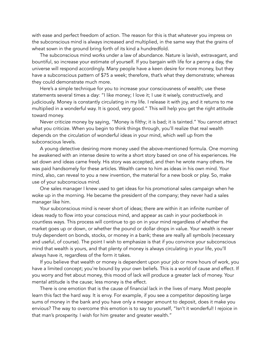with ease and perfect freedom of action. The reason for this is that whatever you impress on the subconscious mind is always increased and multiplied, in the same way that the grains of wheat sown in the ground bring forth of its kind a hundredfold.

 The subconscious mind works under a law of abundance. Nature is lavish, extravagant, and bountiful, so increase your estimate of yourself. If you bargain with life for a penny a day, the universe will respond accordingly. Many people have a keen desire for more money, but they have a subconscious pattern of \$75 a week; therefore, that's what they demonstrate; whereas they could demonstrate much more.

 Here's a simple technique for you to increase your consciousness of wealth; use these statements several times a day: "I like money; I love it; I use it wisely, constructively, and judiciously. Money is constantly circulating in my life. I release it with joy, and it returns to me multiplied in a wonderful way. It is good, very good." This will help you get the right attitude toward money.

 Never criticize money by saying, "Money is filthy; it is bad; it is tainted." You cannot attract what you criticize. When you begin to think things through, you'll realize that real wealth depends on the circulation of wonderful ideas in your mind, which well up from the subconscious levels.

 A young detective desiring more money used the above-mentioned formula. One morning he awakened with an intense desire to write a short story based on one of his experiences. He sat down and ideas came freely. His story was accepted, and then he wrote many others. He was paid handsomely for these articles. Wealth came to him as ideas in his own mind. Your mind, also, can reveal to you a new invention, the material for a new book or play. So, make use of your subconscious mind.

 One sales manager I knew used to get ideas for his promotional sales campaign when he woke up in the morning. He became the president of the company; they never had a sales manager like him.

 Your subconscious mind is never short of ideas; there are within it an infinite number of ideas ready to flow into your conscious mind, and appear as cash in your pocketbook in countless ways. This process will continue to go on in your mind regardless of whether the market goes up or down, or whether the pound or dollar drops in value. Your wealth is never truly dependent on bonds, stocks, or money in a bank; these are really all symbols (necessary and useful, of course). The point I wish to emphasize is that if you convince your subconscious mind that wealth is yours, and that plenty of money is always circulating in your life, you'll always have it, regardless of the form it takes.

 If you believe that wealth or money is dependent upon your job or more hours of work, you have a limited concept; you're bound by your own beliefs. This is a world of cause and effect. If you worry and fret about money, this mood of lack will produce a greater lack of money. Your mental attitude is the cause; less money is the effect.

 There is one emotion that is the cause of financial lack in the lives of many. Most people learn this fact the hard way. It is envy. For example, if you see a competitor depositing large sums of money in the bank and you have only a meager amount to deposit, does it make you envious? The way to overcome this emotion is to say to yourself, "Isn't it wonderful! I rejoice in that man's prosperity. I wish for him greater and greater wealth."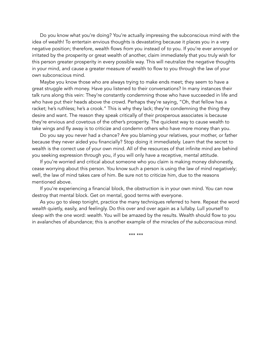Do you know what you're doing? You're actually impressing the subconscious mind with the idea of wealth! To entertain envious thoughts is devastating because it places you in a very negative position; therefore, wealth flows *from* you instead of *to* you. If you're ever annoyed or irritated by the prosperity or great wealth of another, claim immediately that you truly wish for this person greater prosperity in every possible way. This will neutralize the negative thoughts in your mind, and cause a greater measure of wealth to flow to you through the law of your own subconscious mind.

 Maybe you know those who are always trying to make ends meet; they seem to have a great struggle with money. Have you listened to their conversations? In many instances their talk runs along this vein: They're constantly condemning those who have succeeded in life and who have put their heads above the crowd. Perhaps they're saying, "Oh, that fellow has a racket; he's ruthless; he's a crook." This is why they lack; they're condemning the thing they desire and want. The reason they speak critically of their prosperous associates is because they're envious and covetous of the other's prosperity. The quickest way to cause wealth to take wings and fly away is to criticize and condemn others who have more money than you.

 Do you say you never had a chance? Are you blaming your relatives, your mother, or father because they never aided you financially? Stop doing it immediately. Learn that the secret to wealth is the correct use of your own mind. All of the resources of that infinite mind are behind you seeking expression through you, if you will only have a receptive, mental attitude.

 If you're worried and critical about someone who you claim is making money dishonestly, cease worrying about this person. You know such a person is using the law of mind negatively; well, the law of mind takes care of him. Be sure not to criticize him, due to the reasons mentioned above.

 If you're experiencing a financial block, the obstruction is in your own mind. You can now destroy that mental block. Get on mental, good terms with everyone.

 As you go to sleep tonight, practice the many techniques referred to here. Repeat the word *wealth* quietly, easily, and feelingly. Do this over and over again as a lullaby. Lull yourself to sleep with the one word: *wealth.* You will be amazed by the results. Wealth should flow to you in avalanches of abundance; this is another example of *the miracles of the subconscious mind*.

\*\*\* \*\*\*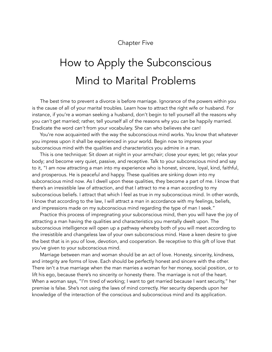Chapter Five

# How to Apply the Subconscious Mind to Marital Problems

 The best time to prevent a divorce is before marriage. Ignorance of the powers within you is the cause of all of your marital troubles. Learn how to attract the right wife or husband. For instance, if you're a woman seeking a husband, don't begin to tell yourself all the reasons why you *can't* get married; rather, tell yourself all of the reasons why you *can* be happily married. Eradicate the word *can't* from your vocabulary. She can who believes she can!

You're now acquainted with the way the subconscious mind works. You know that whatever you impress upon it shall be experienced in your world. Begin now to impress your subconscious mind with the qualities and characteristics you admire in a man.

This is one technique: Sit down at night in your armchair; close your eyes; let go; relax your body; and become very quiet, passive, and receptive. Talk to your subconscious mind and say to it, "I am now attracting a man into my experience who is honest, sincere, loyal, kind, faithful, and prosperous. He is peaceful and happy. These qualities are sinking down into my subconscious mind now. As I dwell upon these qualities, they become a part of me. I know that there's an irresistible law of attraction, and that I attract to me a man according to my subconscious beliefs. I attract that which I feel as true in my subconscious mind. In other words, I know that according to the law, I will attract a man in accordance with my feelings, beliefs, and impressions made on my subconscious mind regarding the type of man I seek."

Practice this process of impregnating your subconscious mind, then you will have the joy of attracting a man having the qualities and characteristics you mentally dwelt upon. The subconscious intelligence will open up a pathway whereby both of you will meet according to the irresistible and changeless law of your own subconscious mind. Have a keen desire to give the best that is in you of love, devotion, and cooperation. Be receptive to this gift of love that you've given to your subconscious mind.

Marriage between man and woman should be an act of love. Honesty, sincerity, kindness, and integrity are forms of love. Each should be perfectly honest and sincere with the other. There isn't a true marriage when the man marries a woman for her money, social position, or to lift his ego, because there's no sincerity or honesty there. The marriage is not of the heart. When a woman says, "I'm tired of working; I want to get married because I want security," her premise is false. She's not using the laws of mind correctly. Her security depends upon her knowledge of the interaction of the conscious and subconscious mind and its application.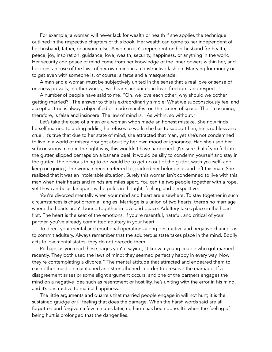For example, a woman will never lack for wealth or health if she applies the technique outlined in the respective chapters of this book. Her wealth can come to her independent of her husband, father, or anyone else. A woman isn't dependent on her husband for health, peace, joy, inspiration, guidance, love, wealth, security, happiness, or anything in the world. Her security and peace of mind come from her knowledge of the inner powers within her, and her constant use of the laws of her own mind in a constructive fashion. Marrying for money or to get even with someone is, of course, a farce and a masquerade.

 A man and a woman must be subjectively united in the sense that a real love or sense of oneness prevails; in other words, two hearts are united in love, freedom, and respect.

 A number of people have said to me, "Oh, we love each other; why should we bother getting married?" The answer to this is extraordinarily simple: What we subconsciously feel and accept as true is always objectified or made manifest on the screen of space. Their reasoning, therefore, is false and insincere. The law of mind is: "As within, so without."

 Let's take the case of a man or a woman who's made an honest mistake. She now finds herself married to a drug addict; he refuses to work; she has to support him; he is ruthless and cruel. It's true that due to her state of mind, she attracted that man, yet she's not condemned to live in a world of misery brought about by her own mood or ignorance. Had she used her subconscious mind in the right way, this wouldn't have happened. (I'm sure that if you fell into the gutter, slipped perhaps on a banana peel, it would be silly to condemn yourself and stay in the gutter. The obvious thing to do would be to get up out of the gutter, wash yourself, and keep on going.) The woman herein referred to, packed her belongings and left this man. She realized that it was an intolerable situation. Surely this woman isn't condemned to live with this man when their hearts and minds are miles apart. You can tie two people together with a rope, yet they can be as far apart as the poles in thought, feeling, and perspective.

 You're divorced mentally when your mind and heart are elsewhere. To stay together in such circumstances is chaotic from all angles. Marriage is a union of two hearts; there's no marriage where the hearts aren't bound together in love and peace. Adultery takes place in the heart first. The heart is the seat of the emotions. If you're resentful, hateful, and critical of your partner, you've already committed adultery in your heart.

 To direct your mental and emotional operations along destructive and negative channels is to commit adultery. Always remember that the adulterous state takes place in the mind. Bodily acts follow mental states; they do not precede them.

 Perhaps as you read these pages you're saying, "I know a young couple who got married recently. They both used the laws of mind; they seemed perfectly happy in every way. Now they're contemplating a divorce." The mental attitude that attracted and endeared them to each other must be maintained and strengthened in order to preserve the marriage. If a disagreement arises or some slight argument occurs, and one of the partners engages the mind on a negative idea such as resentment or hostility, he's uniting with the error in his mind, and it's destructive to marital happiness.

 The little arguments and quarrels that married people engage in will not hurt; it is the sustained grudge or ill feeling that does the damage. When the harsh words said are all forgotten and forgiven a few minutes later, no harm has been done. It's when the feeling of being hurt is prolonged that the danger lies.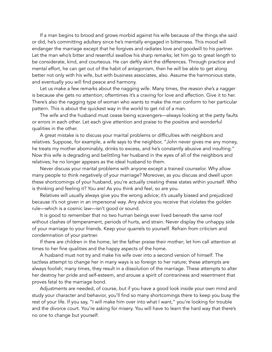If a man begins to brood and grows morbid against his wife because of the things she said or did, he's committing adultery since he's mentally engaged in bitterness. This mood will endanger the marriage except that he forgives and radiates love and goodwill to his partner. Let the man who's bitter and resentful swallow his sharp remarks; let him go to great length to be considerate, kind, and courteous. He can deftly skirt the differences. Through practice and mental effort, he can get out of the habit of antagonism, then he will be able to get along better not only with his wife, but with business associates, also. Assume the harmonious state, and eventually you will find peace and harmony.

 Let us make a few remarks about the nagging wife. Many times, the reason she's a nagger is because she gets no attention; oftentimes it's a craving for love and affection. Give it to her. There's also the nagging type of woman who wants to make the man conform to her particular pattern. This is about the quickest way in the world to get rid of a man.

 The wife and the husband must cease being scavengers—always looking at the petty faults or errors in each other. Let each give attention and praise to the positive and wonderful qualities in the other.

 A great mistake is to discuss your marital problems or difficulties with neighbors and relatives. Suppose, for example, a wife says to the neighbor, "John never gives me any money, he treats my mother abominably, drinks to excess, and he's constantly abusive and insulting." Now this wife is degrading and belittling her husband in the eyes of all of the neighbors and relatives; he no longer appears as the ideal husband to them.

 Never discuss your marital problems with anyone except a trained counselor. Why allow many people to think negatively of your marriage? Moreover, as you discuss and dwell upon these shortcomings of your husband, you're actually creating these states within yourself. Who is thinking and feeling it? You are! As you think and feel, so are you.

 Relatives will usually always give you the wrong advice; it's usually biased and prejudiced because it's not given in an impersonal way. Any advice you receive that violates the golden rule—which is a cosmic law—isn't good or sound.

 It is good to remember that no two human beings ever lived beneath the same roof without clashes of temperament, periods of hurts, and strain. Never display the unhappy side of your marriage to your friends. Keep your quarrels to yourself. Refrain from criticism and condemnation of your partner.

 If there are children in the home, let the father praise their mother; let him call attention at times to her fine qualities and the happy aspects of the home.

 A husband must not try and make his wife over into a second version of himself. The tactless attempt to change her in many ways is so foreign to her nature; these attempts are always foolish; many times, they result in a dissolution of the marriage. These attempts to alter her destroy her pride and self-esteem, and arouse a spirit of contrariness and resentment that proves fatal to the marriage bond.

 Adjustments are needed, of course, but if you have a good look inside your own mind and study your character and behavior, you'll find so many shortcomings there to keep you busy the rest of your life. If you say, "I will make him over into what I want," you're looking for trouble and the divorce court. You're asking for misery. You will have to learn the hard way that there's no one to change but yourself.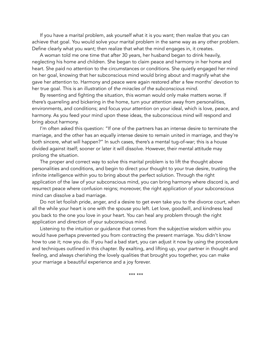If you have a marital problem, ask yourself what it is you want; then realize that you can achieve that goal. You would solve your marital problem in the same way as any other problem. Define clearly what you want; then realize that what the mind engages in, it creates.

 A woman told me one time that after 30 years, her husband began to drink heavily, neglecting his home and children. She began to claim peace and harmony in her home and heart. She paid no attention to the circumstances or conditions. She quietly engaged her mind on her goal, knowing that her subconscious mind would bring about and magnify what she gave her attention to. Harmony and peace were again restored after a few months' devotion to her true goal. This is an illustration of *the miracles of the subconscious mind.*

 By resenting and fighting the situation, this woman would only make matters worse. If there's quarreling and bickering in the home, turn your attention away from personalities, environments, and conditions; and focus your attention on your ideal, which is love, peace, and harmony. As you feed your mind upon these ideas, the subconscious mind will respond and bring about harmony.

 I'm often asked this question: "If one of the partners has an intense desire to terminate the marriage, and the other has an equally intense desire to remain united in marriage, and they're both sincere, what will happen?" In such cases, there's a mental tug-of-war; this is a house divided against itself; sooner or later it will dissolve. However, their mental attitude may prolong the situation.

 The proper and correct way to solve this marital problem is to lift the thought above personalities and conditions, and begin to direct your thought to your true desire, trusting the infinite intelligence within you to bring about the perfect solution. Through the right application of the law of your subconscious mind, you can bring harmony where discord is, and resurrect peace where confusion reigns; moreover, the right application of your subconscious mind can dissolve a bad marriage.

 Do not let foolish pride, anger, and a desire to get even take you to the divorce court, when all the while your heart is one with the spouse you left. Let love, goodwill, and kindness lead you back to the one you love in your heart. You can heal any problem through the right application and direction of your subconscious mind.

 Listening to the intuition or guidance that comes from the subjective wisdom within you would have perhaps prevented you from contracting the present marriage. You didn't know how to use it; now you do. If you had a bad start, you can adjust it now by using the procedure and techniques outlined in this chapter. By exalting, and lifting up, your partner in thought and feeling, and always cherishing the lovely qualities that brought you together, you can make your marriage a beautiful experience and a joy forever.

\*\*\* \*\*\*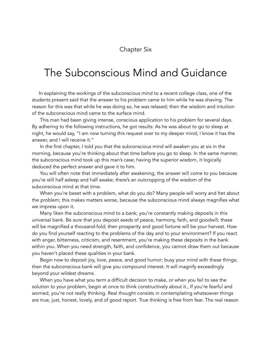Chapter Six

### The Subconscious Mind and Guidance

 In explaining the workings of the subconscious mind to a recent college class, one of the students present said that the answer to his problem came to him while he was shaving. The reason for this was that while he was doing so, he was relaxed; then the wisdom and intuition of the subconscious mind came to the surface mind.

This man had been giving intense, conscious application to his problem for several days. By adhering to the following instructions, he got results: As he was about to go to sleep at night, he would say, "I am now turning this request over to my deeper mind; I know it has the answer, and I will receive it."

In the first chapter, I told you that the subconscious mind will awaken you at six in the morning, because you're thinking about that time before you go to sleep. In the same manner, the subconscious mind took up this man's case; having the superior wisdom, it logically deduced the perfect answer and gave it to him.

You will often note that immediately after awakening, the answer will come to you because you're still half asleep and half awake; there's an outcropping of the wisdom of the subconscious mind at that time.

When you're beset with a problem, what do you do? Many people will worry and fret about the problem; this makes matters worse, because the subconscious mind always magnifies what we impress upon it.

Many liken the subconscious mind to a bank; you're constantly making deposits in this universal bank. Be sure that you deposit seeds of peace, harmony, faith, and goodwill; these will be magnified a thousand-fold; then prosperity and good fortune will be your harvest. How do you find yourself reacting to the problems of the day and to your environment? If you react with anger, bitterness, criticism, and resentment, you're making these deposits in the bank within you. When you need strength, faith, and confidence, you cannot draw them out because you haven't placed these qualities in your bank.

Begin now to deposit joy, love, peace, and good humor; busy your mind with these things; then the subconscious bank will give you compound interest. It will magnify exceedingly beyond your wildest dreams.

When you have what you term a difficult decision to make, or when you fail to see the solution to your problem, begin at once to think constructively about it., If you're fearful and worried, you're not really thinking. Real thought consists in contemplating whatsoever things are true, just, honest, lovely, and of good report. True thinking is free from fear. The real reason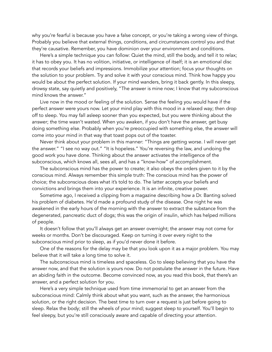why you're fearful is because you have a false concept, or you're taking a wrong view of things. Probably you believe that external things, conditions, and circumstances control you and that they're causative. Remember, you have dominion over your environment and conditions.

 Here's a simple technique you can follow: Quiet the mind, still the body, and tell it to relax; it has to obey you. It has no volition, initiative, or intelligence of itself; it is an emotional disc that records your beliefs and impressions. Immobilize your attention; focus your thoughts on the solution to your problem. Try and solve it with your conscious mind. Think how happy you would be about the perfect solution. If your mind wanders, bring it back gently. In this sleepy, drowsy state, say quietly and positively, "The answer is mine now; I know that my subconscious mind knows the answer."

 Live now in the mood or feeling of the solution. Sense the feeling you would have if the perfect answer were yours now. Let your mind play with this mood in a relaxed way; then drop off to sleep. You may fall asleep sooner than you expected, but you were thinking about the answer; the time wasn't wasted. When you awaken, if you don't have the answer, get busy doing something else. Probably when you're preoccupied with something else, the answer will come into your mind in that way that toast pops out of the toaster.

 Never think about your problem in this manner: "Things are getting worse. I will never get the answer." "I see no way out." "It is hopeless." You're reversing the law, and undoing the good work you have done. Thinking about the answer activates the intelligence of the subconscious, which knows all, sees all, and has a "know-how" of accomplishment.

 The subconscious mind has the power to create; it also obeys the orders given to it by the conscious mind. Always remember this simple truth: The conscious mind has the power of choice; the subconscious does what it's told to do. The latter accepts your beliefs and convictions and brings them into your experience. It is an infinite, creative power.

 Sometime ago, I received a clipping from a magazine describing how a Dr. Banting solved his problem of diabetes. He'd made a profound study of the disease. One night he was awakened in the early hours of the morning with the answer to extract the substance from the degenerated, pancreatic duct of dogs; this was the origin of insulin, which has helped millions of people.

 It doesn't follow that you'll always get an answer overnight; the answer may not come for weeks or months. Don't be discouraged. Keep on turning it over every night to the subconscious mind prior to sleep, as if you'd never done it before.

 One of the reasons for the delay may be that you look upon it as a major problem. You may believe that it will take a long time to solve it.

 The subconscious mind is timeless and spaceless. Go to sleep believing that you have the answer now, and that the solution is yours now. Do not postulate the answer in the future. Have an abiding faith in the outcome. Become convinced now, as you read this book, that there's an answer, and a perfect solution for you.

 Here's a very simple technique used from time immemorial to get an answer from the subconscious mind: Calmly think about what you want, such as the answer, the harmonious solution, or the right decision. The best time to turn over a request is just before going to sleep. Relax the body; still the wheels of your mind; suggest sleep to yourself. You'll begin to feel sleepy, but you're still consciously aware and capable of directing your attention.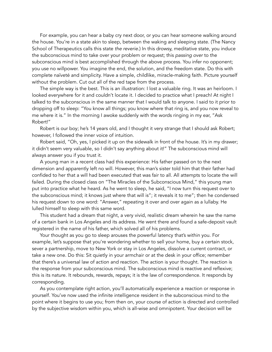For example, you can hear a baby cry next door, or you can hear someone walking around the house. You're in a state akin to sleep, between the waking and sleeping state. (The Nancy School of Therapeutics calls this state *the reverie.*) In this drowsy, meditative state, you induce the subconscious mind to take over your problem or request; this *passing over* to the subconscious mind is best accomplished through the above process. You infer no opponent; you use no willpower. You imagine the end, the solution, and the freedom state. Do this with complete naïveté and simplicity. Have a simple, childlike, miracle-making faith. Picture yourself without the problem. Cut out all of the red tape from the process.

 The simple way is the best. This is an illustration: I lost a valuable ring. It was an heirloom. I looked everywhere for it and couldn't locate it. I decided to practice what I preach! At night I talked to the subconscious in the same manner that I would talk to anyone. I said to it prior to dropping off to sleep: "You know all things; you know where that ring is, and you now reveal to me where it is." In the morning I awoke suddenly with the words ringing in my ear, "Ask Robert!"

 Robert is our boy; he's 14 years old, and I thought it very strange that I should ask Robert; however, I followed the inner voice of intuition.

 Robert said, "Oh, yes, I picked it up on the sidewalk in front of the house. It's in my drawer; it didn't seem very valuable, so I didn't say anything about it!" The subconscious mind will always answer you if you trust it.

 A young man in a recent class had this experience: His father passed on to the next dimension and apparently left no will. However, this man's sister told him that their father had confided to her that a will had been executed that was fair to all. All attempts to locate the will failed. During the closed class on "The Miracles of the Subconscious Mind," this young man put into practice what he heard. As he went to sleep, he said, "I now turn this request over to the subconscious mind; it knows just where that will is"; it reveals it to me"; then he condensed his request down to one word: "Answer," repeating it over and over again as a lullaby. He lulled himself to sleep with this same word.

 This student had a dream that night, a very vivid, realistic dream wherein he saw the name of a certain bank in Los Angeles and its address. He went there and found a safe-deposit vault registered in the name of his father, which solved all of his problems.

 Your thought as you go to sleep arouses the powerful latency that's within you. For example, let's suppose that you're wondering whether to sell your home, buy a certain stock, sever a partnership, move to New York or stay in Los Angeles, dissolve a current contract, or take a new one. Do this: Sit quietly in your armchair or at the desk in your office; remember that there's a universal law of action and reaction. The action is your thought. The reaction is the response from your subconscious mind. The subconscious mind is reactive and reflexive; this is its nature. It rebounds, rewards, repays; it is the law of correspondence. It responds by corresponding.

 As you contemplate right action, you'll automatically experience a reaction or response in yourself. You've now used the infinite intelligence resident in the subconscious mind to the point where it begins to use you; from then on, your course of action is directed and controlled by the subjective wisdom within you, which is all-wise and omnipotent. Your decision will be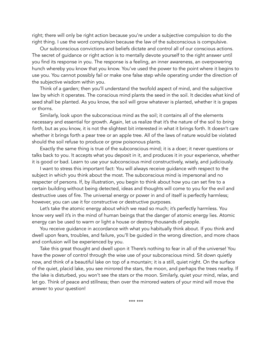right; there will only be right action because you're under a subjective compulsion to do the right thing. I use the word *compulsion* because the law of the subconscious is compulsive.

 Our subconscious convictions and beliefs dictate and control all of our conscious actions. The secret of guidance or right action is to mentally devote yourself to the right answer until you find its response in you. The response is a feeling, an inner awareness, an overpowering hunch whereby you know that you know. You've used the power to the point where it begins to use you. You cannot possibly fail or make one false step while operating under the direction of the subjective wisdom within you.

 Think of a garden; then you'll understand the twofold aspect of mind, and the subjective law by which it operates. The conscious mind plants the seed in the soil. It decides what kind of seed shall be planted. As you know, the soil will grow whatever is planted, whether it is grapes or thorns.

 Similarly, look upon the subconscious mind as the soil; it contains all of the elements necessary and essential for growth. Again, let us realize that it's the nature of the soil to *bring forth,* but as you know, it is not the slightest bit interested in what it brings forth. It doesn't care whether it brings forth a pear tree or an apple tree. All of the laws of nature would be violated should the soil refuse to produce or grow poisonous plants.

 Exactly the same thing is true of the subconscious mind; it is a doer; it never questions or talks back to you. It accepts what you deposit in it, and produces it in your experience, whether it is good or bad. Learn to use your subconscious mind constructively, wisely, and judiciously.

 I want to stress this important fact: You will always receive guidance with respect to the subject in which you think about the most. The subconscious mind is impersonal and no respecter of persons. If, by illustration, you begin to think about how you can set fire to a certain building without being detected, ideas and thoughts will come to you for the evil and destructive uses of fire. The universal energy or power in and of itself is perfectly harmless; however, you can use it for constructive or destructive purposes.

 Let's take the atomic energy about which we read so much; it's perfectly harmless. You know very well it's in the mind of human beings that the danger of atomic energy lies. Atomic energy can be used to warm or light a house or destroy thousands of people.

 You receive guidance in accordance with what you habitually think about. If you think and dwell upon fears, troubles, and failure, you'll be guided in the wrong direction, and more chaos and confusion will be experienced by you.

 Take this great thought and dwell upon it There's nothing to fear in all of the universe! You have the power of control through the wise use of your subconscious mind. Sit down quietly now, and think of a beautiful lake on top of a mountain; it is a still, quiet night. On the surface of the quiet, placid lake, you see mirrored the stars, the moon, and perhaps the trees nearby. If the lake is disturbed, you won't see the stars or the moon. Similarly, quiet your mind, relax, and let go. Think of peace and stillness; then over the mirrored waters of your mind will move the answer to your question!

\*\*\* \*\*\*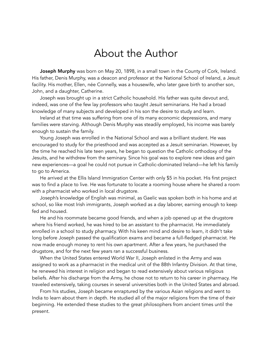### About the Author

**Joseph Murphy** was born on May 20, 1898, in a small town in the County of Cork, Ireland. His father, Denis Murphy, was a deacon and professor at the National School of Ireland, a Jesuit facility. His mother, Ellen, née Connelly, was a housewife, who later gave birth to another son, John, and a daughter, Catherine.

 Joseph was brought up in a strict Catholic household. His father was quite devout and, indeed, was one of the few lay professors who taught Jesuit seminarians. He had a broad knowledge of many subjects and developed in his son the desire to study and learn.

 Ireland at that time was suffering from one of its many economic depressions, and many families were starving. Although Denis Murphy was steadily employed, his income was barely enough to sustain the family.

 Young Joseph was enrolled in the National School and was a brilliant student. He was encouraged to study for the priesthood and was accepted as a Jesuit seminarian. However, by the time he reached his late teen years, he began to question the Catholic orthodoxy of the Jesuits, and he withdrew from the seminary. Since his goal was to explore new ideas and gain new experiences—a goal he could not pursue in Catholic-dominated Ireland—he left his family to go to America.

 He arrived at the Ellis Island Immigration Center with only \$5 in his pocket. His first project was to find a place to live. He was fortunate to locate a rooming house where he shared a room with a pharmacist who worked in local drugstore.

 Joseph's knowledge of English was minimal, as Gaelic was spoken both in his home and at school, so like most Irish immigrants, Joseph worked as a day laborer, earning enough to keep fed and housed.

 He and his roommate became good friends, and when a job opened up at the drugstore where his friend worked, he was hired to be an assistant to the pharmacist. He immediately enrolled in a school to study pharmacy. With his keen mind and desire to learn, it didn't take long before Joseph passed the qualification exams and became a full-fledged pharmacist. He now made enough money to rent his own apartment. After a few years, he purchased the drugstore, and for the next few years ran a successful business.

 When the United States entered World War II, Joseph enlisted in the Army and was assigned to work as a pharmacist in the medical unit of the 88th Infantry Division. At that time, he renewed his interest in religion and began to read extensively about various religious beliefs. After his discharge from the Army, he chose not to return to his career in pharmacy. He traveled extensively, taking courses in several universities both in the United States and abroad.

 From his studies, Joseph became enraptured by the various Asian religions and went to India to learn about them in depth. He studied all of the major religions from the time of their beginning. He extended these studies to the great philosophers from ancient times until the present.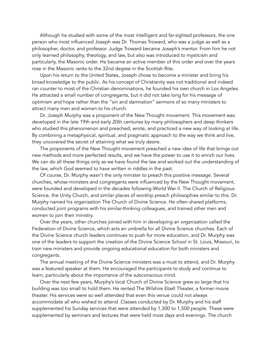Although he studied with some of the most intelligent and far-sighted professors, the one person who most influenced Joseph was Dr. Thomas Troward, who was a judge as well as a philosopher, doctor, and professor. Judge Troward became Joseph's mentor. From him he not only learned philosophy, theology, and law, but also was introduced to mysticism and particularly, the Masonic order. He became an active member of this order and over the years rose in the Masonic ranks to the 32nd degree in the Scottish Rite.

 Upon his return to the United States, Joseph chose to become a minister and bring his broad knowledge to the public. As his concept of Christianity was not traditional and indeed ran counter to most of the Christian denominations, he founded his own church in Los Angeles. He attracted a small number of congregants, but it did not take long for his message of optimism and hope rather than the "sin and damnation" sermons of so many ministers to attract many men and women to his church.

 Dr. Joseph Murphy was a proponent of the New Thought movement. This movement was developed in the late 19th and early 20th centuries by many philosophers and deep thinkers who studied this phenomenon and preached, wrote, and practiced a new way of looking at life. By combining a metaphysical, spiritual, and pragmatic approach to the way we think and live, they uncovered the secret of attaining what we truly desire.

 The proponents of the New Thought movement preached a new idea of life that brings out new methods and more perfected results, and we have the power to use it to enrich our lives. We can do all these things only as we have found the law and worked out the understanding of the law, which God seemed to have written in riddles in the past.

 Of course, Dr. Murphy wasn't the only minister to preach this positive message. Several churches, whose ministers and congregants were influenced by the New Thought movement, were founded and developed in the decades following World War II. The Church of Religious Science, the Unity Church, and similar places of worship preach philosophies similar to this. Dr. Murphy named his organization The Church of Divine Science. He often shared platforms, conducted joint programs with his similar-thinking colleagues, and trained other men and women to join their ministry.

 Over the years, other churches joined with him in developing an organization called the Federation of Divine Science, which acts an umbrella for all Divine Science churches. Each of the Divine Science church leaders continues to push for more education, and Dr. Murphy was one of the leaders to support the creation of the Divine Science School in St. Louis, Missouri, to train new ministers and provide ongoing educational education for both ministers and congregants.

 The annual meeting of the Divine Science ministers was a must to attend, and Dr. Murphy was a featured speaker at them. He encouraged the participants to study and continue to learn, particularly about the importance of the subconscious mind.

 Over the next few years, Murphy's local Church of Divine Science grew so large that his building was too small to hold them. He rented The Wilshire Ebell Theater, a former movie theater. His services were so well attended that even this venue could not always accommodate all who wished to attend. Classes conducted by Dr. Murphy and his staff supplemented his Sunday services that were attended by 1,300 to 1,500 people. These were supplemented by seminars and lectures that were held most days and evenings. The church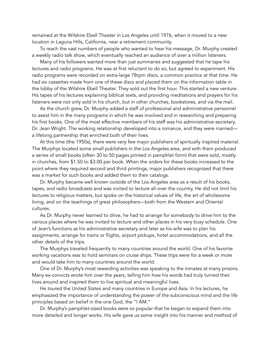remained at the Wilshire Ebell Theater in Los Angeles until 1976, when it moved to a new location in Laguna Hills, California, near a retirement community.

 To reach the vast numbers of people who wanted to hear his message, Dr. Murphy created a weekly radio talk show, which eventually reached an audience of over a million listeners.

 Many of his followers wanted more than just summaries and suggested that he tape his lectures and radio programs. He was at first reluctant to do so, but agreed to experiment. His radio programs were recorded on extra-large 78rpm discs, a common practice at that time. He had six cassettes made from one of these discs and placed them on the information table in the lobby of the Wilshire Ebell Theater. They sold out the first hour. This started a new venture. His tapes of his lectures explaining biblical texts, and providing meditations and prayers for his listeners were not only sold in his church, but in other churches, bookstores, and via the mail.

 As the church grew, Dr. Murphy added a staff of professional and administrative personnel to assist him in the many programs in which he was involved and in researching and preparing his first books. One of the most effective members of his staff was his administrative secretary, Dr. Jean Wright. The working relationship developed into a romance, and they were married a lifelong partnership that enriched both of their lives.

 At this time (the 1950s), there were very few major publishers of spiritually inspired material. The Murphys located some small publishers in the Los Angeles area, and with them produced a series of small books (often 30 to 50 pages printed in pamphlet form) that were sold, mostly in churches, from \$1.50 to \$3.00 per book. When the orders for these books increased to the point where they required second and third printings, major publishers recognized that there was a market for such books and added them to their catalogs.

 Dr. Murphy became well known outside of the Los Angeles area as a result of his books, tapes, and radio broadcasts and was invited to lecture all over the country. He did not limit his lectures to religious matters, but spoke on the historical values of life, the art of wholesome living, and on the teachings of great philosophers—both from the Western and Oriental cultures.

 As Dr. Murphy never learned to drive, he had to arrange for somebody to drive him to the various places where he was invited to lecture and other places in his very busy schedule. One of Jean's functions as his administrative secretary and later as his wife was to plan his assignments, arrange for trains or flights, airport pickups, hotel accommodations, and all the other details of the trips.

 The Murphys traveled frequently to many countries around the world. One of his favorite working vacations was to hold seminars on cruise ships. These trips were for a week or more and would take him to many countries around the world.

 One of Dr. Murphy's most rewarding activities was speaking to the inmates at many prisons. Many ex-convicts wrote him over the years, telling him how his words had truly turned their lives around and inspired them to live spiritual and meaningful lives.

 He toured the United States and many countries in Europe and Asia. In his lectures, he emphasized the importance of understanding the power of the subconscious mind and the life principles based on belief in the one God, the "I AM."

 Dr. Murphy's pamphlet-sized books were so popular that he began to expand them into more detailed and longer works. His wife gave us some insight into his manner and method of